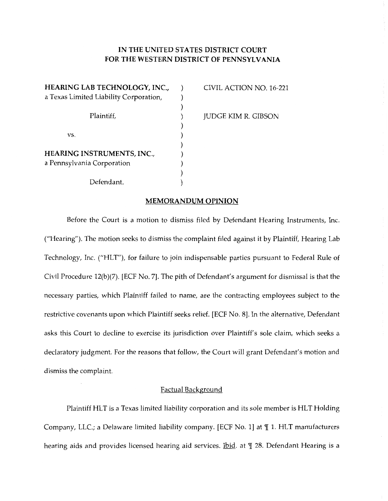# **IN THE UNITED STATES DISTRICT COURT FOR THE WESTERN DISTRICT OF PENNSYLVANIA**

**HEARING LAB TECHNOLOGY, INC.,** ) CIVIL ACTION NO. 16-221 a Texas Limited Liability Corporation,  $\qquad)$ ) Plaintiff,  $J$  JUDGE KIM R. GIBSON )  $\mathbf{v}\mathbf{s}$ .  $\qquad \qquad$  ) ) **HEARING INSTRUMENTS, INC.,** ) a Pennsylvania Corporation (1999) ) Defendant. )

### **MEMORANDUM OPINION**

Before the Court is a motion to dismiss filed by Defendant Hearing Instruments, Inc. ("Hearing"). The motion seeks to dismiss the complaint filed against it by Plaintiff, Hearing Lab Technology, Inc. ("HLT"), for failure to join indispensable parties pursuant to Federal Rule of Civil Procedure 12(b)(7). [ECF No. 7]. The pith of Defendant's argument for dismissal is that the necessary parties, which Plaintiff failed to name, are the contracting employees subject to the restrictive covenants upon which Plaintiff seeks relief. [ECF No. 8]. In the alternative, Defendant asks this Court to decline to exercise its jurisdiction over Plaintiff's sole claim, which seeks a declaratory judgment. For the reasons that follow, the Court will grant Defendant's motion and dismiss the complaint.

#### Factual Background

Plaintiff HLT is a Texas limited liability corporation and its sole member is HLT Holding Company, LLC.; a Delaware limited liability company. [ECF No. 1] at  $\P$  1. HLT manufacturers hearing aids and provides licensed hearing aid services. Ibid. at 1 28. Defendant Hearing is a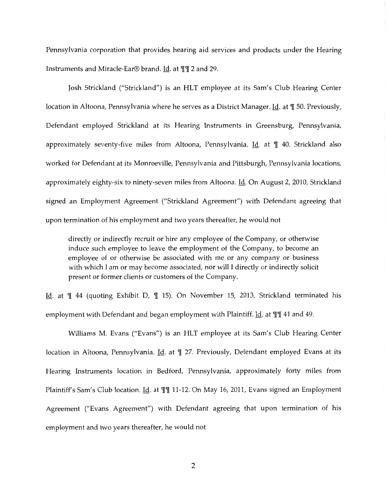Pennsylvania corporation that provides hearing aid services and products under the Hearing Instruments and Miracle-Ear® brand. Id. at ¶¶ 2 and 29.

Josh Strickland ("Strickland") is an HLT employee at its Sam's Club Hearing Center location in Altoona, Pennsylvania where he serves as a District Manager. Id. at  $\P$  50. Previously, Defendant employed Strickland at its Hearing Instruments in Greensburg, Pennsylvania, approximately seventy-five miles from Altoona, Pennsylvania. Id. at  $\parallel$  40. Strickland also worked for Defendant at its Monroeville, Pennsylvania and Pittsburgh, Pennsylvania locations, approximately eighty-six to ninety-seven miles from Altoona. Id. On August 2, 2010, Strickland signed an Employment Agreement ("Strickland Agreement") with Defendant agreeing that upon termination of his employment and two years thereafter, he would not

directly or indirectly recruit or hire any employee of the Company, or otherwise induce such employee to leave the employment of the Company, to become an employee of or otherwise be associated with me or any company or business with which I am or may become associated, nor will I directly or indirectly solicit present or former clients or customers of the Company.

Id. at  $\mathbb I$  44 (quoting Exhibit D,  $\mathbb I$  15). On November 15, 2013, Strickland terminated his employment with Defendant and began employment with Plaintiff. Id. at III 41 and 49.

Williams M. Evans ("Evans") is an HLT employee at its Sam's Club Hearing Center location in Altoona, Pennsylvania. *Id.* at  $\mathbb{I}$  27. Previously, Defendant employed Evans at its Hearing Instruments location in Bedford, Pennsylvania, approximately forty miles from Plaintiff's Sam's Club location. Id. at  $\P\P$ 11-12. On May 16, 2011, Evans signed an Employment Agreement ("Evans Agreement") with Defendant agreeing that upon termination of his employment and two years thereafter, he would not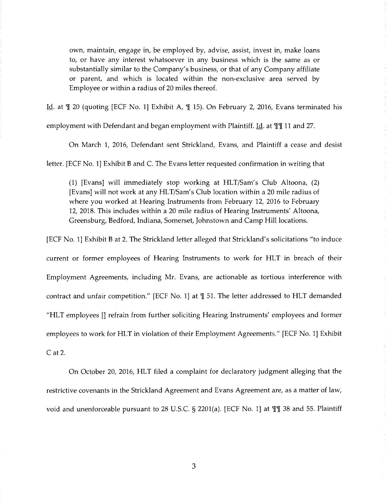own, maintain, engage in, be employed by, advise, assist, invest in, make loans to, or have any interest whatsoever in any business which is the same as or substantially similar to the Company's business, or that of any Company affiliate or parent, and which is located within the non-exclusive area served by Employee or within a radius of 20 miles thereof.

Id. at  $\mathbb{I}$  20 (quoting [ECF No. 1] Exhibit A,  $\mathbb{I}$  15). On February 2, 2016, Evans terminated his

employment with Defendant and began employment with Plaintiff. Id. at  $\P$  11 and 27.

On March 1, 2016, Defendant sent Strickland, Evans, and Plaintiff a cease and desist

letter. [ECF No. 1] Exhibit B and C. The Evans letter requested confirmation in writing that

(1) [Evans] will immediately stop working at HLT/Sam's Club Altoona, (2) [Evans] will not work at any HLT/Sam's Club location within a 20 mile radius of where you worked at Hearing Instruments from February 12, 2016 to February 12, 2018. This includes within a 20 mile radius of Hearing Instruments' Altoona, Greensburg, Bedford, Indiana, Somerset, Johnstown and Camp Hill locations.

[ECF No. 1] Exhibit Bat 2. The Strickland letter alleged that Strickland's solicitations "to induce

current or former employees of Hearing Instruments to work for HLT in breach of their Employment Agreements, including Mr. Evans, are actionable as tortious interference with contract and unfair competition." [ECF No. 1] at  $\P$  51. The letter addressed to HLT demanded "HLT employees [] refrain from further soliciting Hearing Instruments' employees and former employees to work for HLT in violation of their Employment Agreements." [ECF No. 1] Exhibit Cat 2.

On October 20, 2016, HLT filed a complaint for declaratory judgment alleging that the restrictive covenants in the Strickland Agreement and Evans Agreement are, as a matter of law, void and unenforceable pursuant to 28 U.S.C. § 2201(a). [ECF No. 1] at  $\P$  1 38 and 55. Plaintiff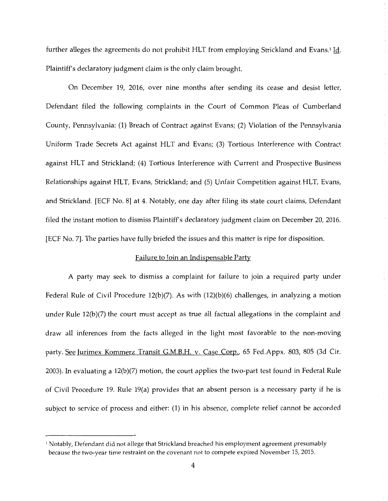further alleges the agreements do not prohibit HLT from employing Strickland and Evans.<sup>1</sup> Id. Plaintiff's declaratory judgment claim is the only claim brought.

On December 19, 2016, over nine months after sending its cease and desist letter, Defendant filed the following complaints in the Court of Common Pleas of Cumberland County, Pennsylvania: (1) Breach of Contract against Evans; (2) Violation of the Pennsylvania Uniform Trade Secrets Act against HLT and Evans; (3) Tortious Interference with Contract against HLT and Strickland; ( 4) Tortious Interference with Current and Prospective Business Relationships against HLT, Evans, Strickland; and (5) Unfair Competition against HLT, Evans, and Strickland. [ECF No. 8] at 4. Notably, one day after filing its state court claims, Defendant filed the instant motion to dismiss Plaintiff's declaratory judgment claim on December 20, 2016. [ECF No. 7]. The parties have fully briefed the issues and this matter is ripe for disposition.

#### Failure to Join an Indispensable Party

A party may seek to dismiss a complaint for failure to join a required party under Federal Rule of Civil Procedure 12(b)(7). As with (12)(b)(6) challenges, in analyzing a motion under Rule 12(b)(7) the court must accept as true all factual allegations in the complaint and draw all inferences from the facts alleged in the light most favorable to the non-moving party. See Jurimex Kommerz Transit G.M.B.H. v. Case Corp., 65 Fed.Appx. 803, 805 (3d Cir. 2003). In evaluating a 12(b)(7) motion, the court applies the two-part test found in Federal Rule of Civil Procedure 19. Rule 19(a) provides that an absent person is a necessary party if he is subject to service of process and either: (1) in his absence, complete relief cannot be accorded

<sup>1</sup> Notably, Defendant did not allege that Strickland breached his employment agreement presumably because the two-year time restraint on the covenant not to compete expired November 15, 2015.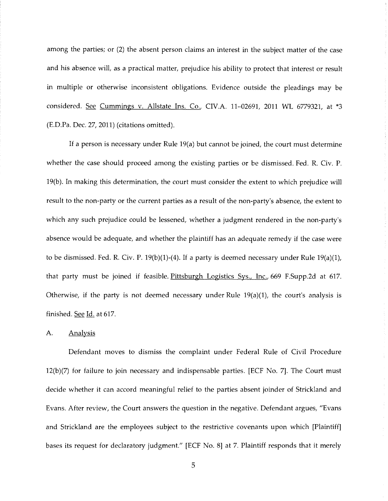among the parties; or (2) the absent person claims an interest in the subject matter of the case and his absence will, as a practical matter, prejudice his ability to protect that interest or result in multiple or otherwise inconsistent obligations. Evidence outside the pleadings may be considered. See Cummings v. Allstate Ins. Co., CIV.A. 11-02691, 2011 WL 6779321, at \*3 (ED.Pa. Dec. 27, 2011) (citations omitted).

If a person is necessary under Rule 19(a) but cannot be joined, the court must determine whether the case should proceed among the existing parties or be dismissed. Fed. R. Civ. P. 19(b). In making this determination, the court must consider the extent to which prejudice will result to the non-party or the current parties as a result of the non-party's absence, the extent to which any such prejudice could be lessened, whether a judgment rendered in the non-party's absence would be adequate, and whether the plaintiff has an adequate remedy if the case were to be dismissed. Fed. R. Civ. P. 19(b)(1)-(4). If a party is deemed necessary under Rule 19(a)(1), that party must be joined if feasible. Pittsburgh Logistics Sys., Inc., 669 F.Supp.2d at 617. Otherwise, if the party is not deemed necessary under Rule  $19(a)(1)$ , the court's analysis is finished. See Id. at 617.

#### A. **Analysis**

Defendant moves to dismiss the complaint under Federal Rule of Civil Procedure 12(b)(7) for failure to join necessary and indispensable parties. [ECF No. 7]. The Court must decide whether it can accord meaningful relief to the parties absent joinder of Strickland and Evans. After review, the Court answers the question in the negative. Defendant argues, "Evans and Strickland are the employees subject to the restrictive covenants upon which [Plaintiff] bases its request for declaratory judgment." [ECF No. 8] at 7. Plaintiff responds that it merely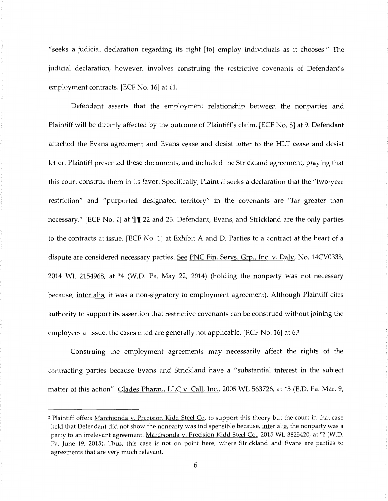"seeks a judicial declaration regarding its right [to] employ individuals as it chooses." The judicial declaration, however, involves construing the restrictive covenants of Defendant's employment contracts. [ECF No. 16] at 11.

Defendant asserts that the employment relationship between the nonparties and Plaintiff will be directly affected by the outcome of Plaintiff's claim. [ECF No. 8] at 9. Defendant attached the Evans agreement and Evans cease and desist letter to the HLT cease and desist letter. Plaintiff presented these documents, and included the Strickland agreement, praying that this court construe them in its favor. Specifically, Plaintiff seeks a declaration that the "two-year restriction" and "purported designated territory" in the covenants are "far greater than necessary." [ECF No. 1] at III 22 and 23. Defendant, Evans, and Strickland are the only parties to the contracts at issue. [ECF No. 1] at Exhibit A and D. Parties to a contract at the heart of a dispute are considered necessary parties. See PNC Fin. Servs. Grp., Inc. v. Daly, No. 14CV0335, 2014 WL 2154968, at \*4 (W.D. Pa. May 22, 2014) (holding the nonparty was not necessary because, *inter alia*, it was a non-signatory to employment agreement). Although Plaintiff cites authority to support its assertion that restrictive covenants can be construed without joining the employees at issue, the cases cited are generally not applicable. [ECF No. 16] at  $6<sup>2</sup>$ 

Construing the employment agreements may necessarily affect the rights of the contracting parties because Evans and Strickland have a "substantial interest in the subject matter of this action". Glades Pharm., LLC v. Call, Inc., 2005 WL 563726, at \*3 (E.D. Pa. Mar. 9,

<sup>&</sup>lt;sup>2</sup> Plaintiff offers Marchionda v. Precision Kidd Steel Co. to support this theory but the court in that case held that Defendant did not show the nonparty was indispensible because, inter alia, the nonparty was a party to an irrelevant agreement. Marchionda v. Precision Kidd Steel Co., 2015 WL 3825420, at \*2 (W.D. Pa. June 19, 2015). Thus, this case is not on point here, where Strickland and Evans are parties to agreements that are very much relevant.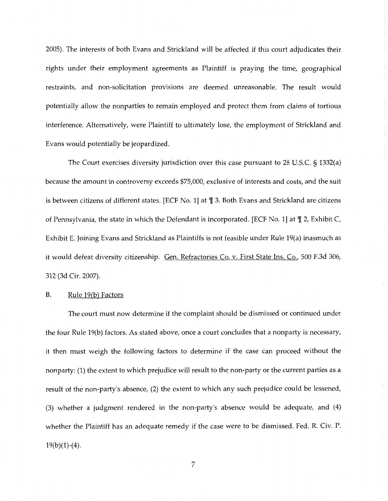2005). The interests of both Evans and Strickland will be affected if this court adjudicates their rights under their employment agreements as Plaintiff is praying the time, geographical restraints, and non-solicitation provisions are deemed unreasonable. The result would potentially allow the nonparties to remain employed and protect them from claims of tortious interference. Alternatively, were Plaintiff to ultimately lose, the employment of Strickland and Evans would potentially be jeopardized.

The Court exercises diversity jurisdiction over this case pursuant to 28 U.S.C. § 1332(a) because the amount in controversy exceeds \$75,000, exclusive of interests and costs, and the suit is between citizens of different states. [ECF No. 1] at  $\P$  3. Both Evans and Strickland are citizens of Pennsylvania, the state in which the Defendant is incorporated. [ECF No. 1] at  $\P$  2, Exhibit C, Exhibit E. Joining Evans and Strickland as Plaintiffs is not feasible under Rule 19(a) inasmuch as it would defeat diversity citizenship. Gen. Refractories Co. v. First State Ins. Co., 500 F.3d 306, 312 (3d Cir. 2007).

#### B. Rule 19(b) Factors

The court must now determine if the complaint should be dismissed or continued under the four Rule 19(b) factors. As stated above, once a court concludes that a nonparty is necessary, it then must weigh the following factors to determine if the case can proceed without the nonparty: (1) the extent to which prejudice will result to the non-party or the current parties as a result of the non-party's absence, (2) the extent to which any such prejudice could be lessened, (3) whether a judgment rendered in the non-party's absence would be adequate, and ( 4) whether the Plaintiff has an adequate remedy if the case were to be dismissed. Fed. R. Civ. P.  $19(b)(1)-(4)$ .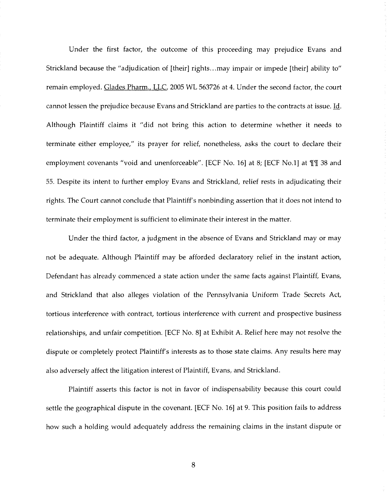Under the first factor, the outcome of this proceeding may prejudice Evans and Strickland because the "adjudication of [their] rights ... may impair or impede [their] ability to" remain employed. Glades Pharm., LLC, 2005 WL 563726 at 4. Under the second factor, the court cannot lessen the prejudice because Evans and Strickland are parties to the contracts at issue. Id. Although Plaintiff claims it "did not bring this action to determine whether it needs to terminate either employee," its prayer for relief, nonetheless, asks the court to declare their employment covenants "void and unenforceable". [ECF No. 16] at 8; [ECF No.1] at 111 38 and 55. Despite its intent to further employ Evans and Strickland, relief rests in adjudicating their rights. The Court cannot conclude that Plaintiff's nonbinding assertion that it does not intend to terminate their employment is sufficient to eliminate their interest in the matter.

Under the third factor, a judgment in the absence of Evans and Strickland may or may not be adequate. Although Plaintiff may be afforded declaratory relief in the instant action, Defendant has already commenced a state action under the same facts against Plaintiff, Evans, and Strickland that also alleges violation of the Pennsylvania Uniform Trade Secrets Act, tortious interference with contract, tortious interference with current and prospective business relationships, and unfair competition. [ECF No. 8] at Exhibit A. Relief here may not resolve the dispute or completely protect Plaintiff's interests as to those state claims. Any results here may also adversely affect the litigation interest of Plaintiff, Evans, and Strickland.

Plaintiff asserts this factor is not in favor of indispensability because this court could settle the geographical dispute in the covenant. [ECF No. 16] at 9. This position fails to address how such a holding would adequately address the remaining claims in the instant dispute or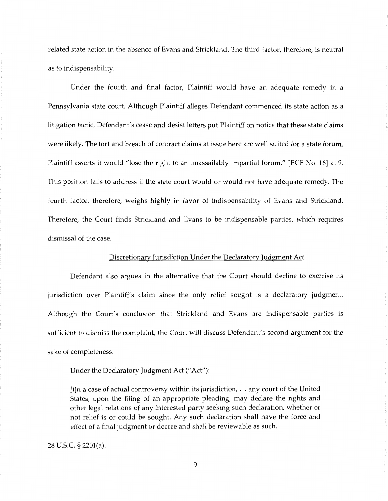related state action in the absence of Evans and Strickland. The third factor, therefore, is neutral as to indispensability.

Under the fourth and final factor, Plaintiff would have an adequate remedy in a Pennsylvania state court. Although Plaintiff alleges Defendant commenced its state action as a litigation tactic, Defendant's cease and desist letters put Plaintiff on notice that these state claims were likely. The tort and breach of contract claims at issue here are well suited for a state forum. Plaintiff asserts it would "lose the right to an unassailably impartial forum." [ECF No. 16] at 9. This position fails to address if the state court would or would not have adequate remedy. The fourth factor, therefore, weighs highly in favor of indispensability of Evans and Strickland. Therefore, the Court finds Strickland and Evans to be indispensable parties, which requires dismissal of the case.

#### Discretionary Jurisdiction Under the Declaratory Judgment Act

Defendant also argues in the alternative that the Court should decline to exercise its jurisdiction over Plaintiff's claim since the only relief sought is a declaratory judgment. Although the Court's conclusion that Strickland and Evans are indispensable parties is sufficient to dismiss the complaint, the Court will discuss Defendant's second argument for the sake of completeness.

Under the Declaratory Judgment Act ("Act"):

[i]n a case of actual controversy within its jurisdiction, ... any court of the United States, upon the filing of an appropriate pleading, may declare the rights and other legal relations of any interested party seeking such declaration, whether or not relief is or could be sought. Any such declaration shall have the force and effect of a final judgment or decree and shall be reviewable as such.

28 U.S.C. § 2201(a).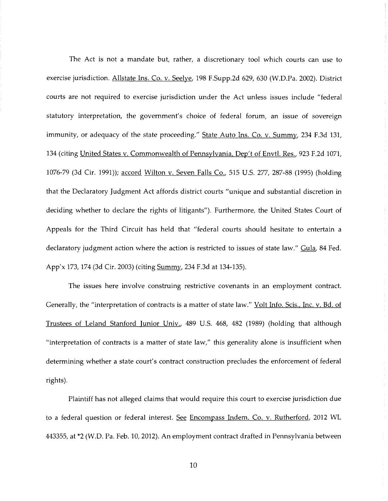The Act is not a mandate but, rather, a discretionary tool which courts can use to exercise jurisdiction. Allstate Ins. Co. v. Seelye, 198 F.Supp.2d 629, 630 (W.D.Pa. 2002). District courts are not required to exercise jurisdiction under the Act unless issues include "federal statutory interpretation, the government's choice of federal forum, an issue of sovereign immunity, or adequacy of the state proceeding." State Auto Ins. Co. v. Summy, 234 F.3d 131, 134 (citing United States v. Commonwealth of Pennsylvania, Dep't of Envtl. Res., 923 F.2d 1071, 1076-79 (3d Cir. 1991)); accord Wilton v. Seven Falls Co., 515 U.S. 277, 287-88 (1995) (holding that the Declaratory Judgment Act affords district courts "unique and substantial discretion in deciding whether to declare the rights of litigants"). Furthermore, the United States Court of Appeals for the Third Circuit has held that "federal courts should hesitate to entertain a declaratory judgment action where the action is restricted to issues of state law." Gula, 84 Fed. App'x 173, 174 (3d Cir. 2003) (citing Summy, 234 F.3d at 134-135).

The issues here involve construing restrictive covenants in an employment contract. Generally, the "interpretation of contracts is a matter of state law." Volt Info. Scis., Inc. v. Bd. of Trustees of Leland Stanford Junior Univ., 489 U.S. 468, 482 (1989) (holding that although "interpretation of contracts is a matter of state law," this generality alone is insufficient when determining whether a state court's contract construction precludes the enforcement of federal rights).

Plaintiff has not alleged claims that would require this court to exercise jurisdiction due to a federal question or federal interest. See Encompass Indem. Co. v. Rutherford, 2012 WL 443355, at \*2 (W.D. Pa. Feb. 10, 2012). An employment contract drafted in Pennsylvania between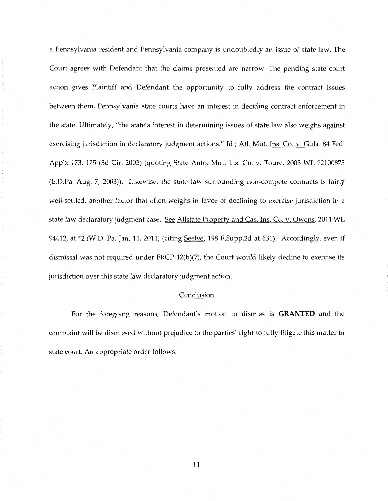a Pennsylvania resident and Pennsylvania company is undoubtedly an issue of state law. The Court agrees with Defendant that the claims presented are narrow. The pending state court action gives Plaintiff and Defendant the opportunity to fully address the contract issues between them. Pennsylvania state courts have an interest in deciding contract enforcement in the state. Ultimately, "the state's interest in determining issues of state law also weighs against exercising jurisdiction in declaratory judgment actions." Id.; Atl. Mut. Ins. Co. v. Gula, 84 Fed. App'x 173, 175 (3d Cir. 2003) (quoting State Auto. Mut. Ins. Co. v. Toure, 2003 WL 22100875 (E.D.Pa. Aug. 7, 2003)). Likewise, the state law surrounding non-compete contracts is fairly well-settled, another factor that often weighs in favor of declining to exercise jurisdiction in a state law declaratory judgment case. See Allstate Property and Cas. Ins. Co. v. Owens, 2011 WL 94412, at \*2 (W.D. Pa. Jan. 11, 2011) (citing Seelve, 198 F.Supp.2d at 631). Accordingly, even if dismissal was not required under FRCP 12(b)(7), the Court would likely decline to exercise its jurisdiction over this state law declaratory judgment action.

## Conclusion

For the foregoing reasons, Defendant's motion to dismiss is **GRANTED** and the complaint will be dismissed without prejudice to the parties' right to fully litigate this matter in state court. An appropriate order follows.